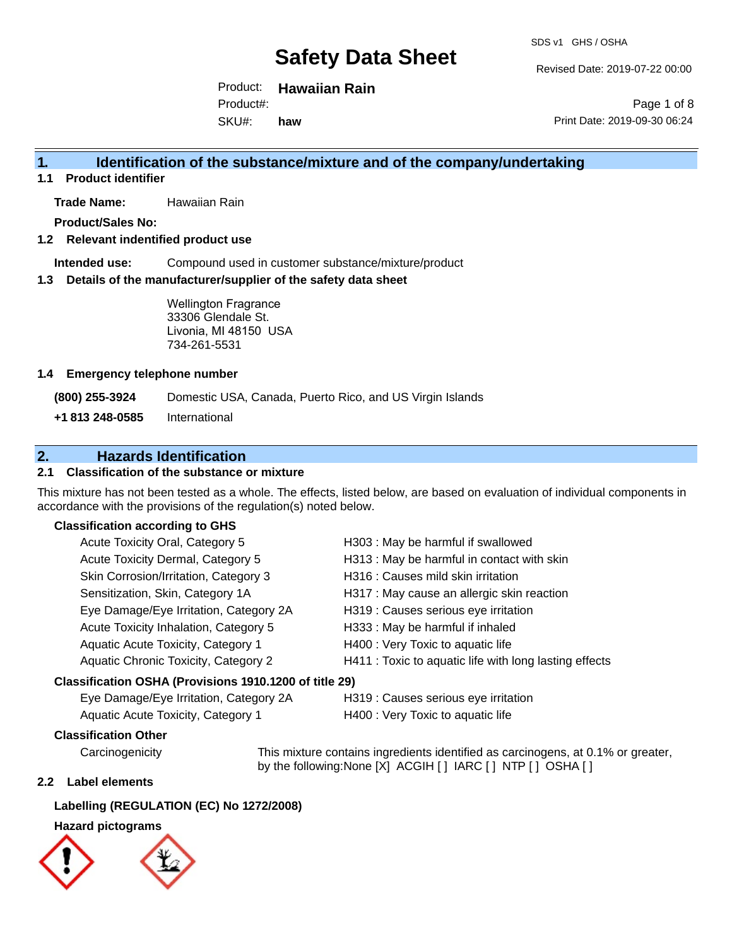Revised Date: 2019-07-22 00:00

Product: **Hawaiian Rain** SKU#: Product#: **haw**

Page 1 of 8 Print Date: 2019-09-30 06:24

### **1. Identification of the substance/mixture and of the company/undertaking**

**1.1 Product identifier**

**Trade Name:** Hawaiian Rain

**Product/Sales No:**

#### **1.2 Relevant indentified product use**

**Intended use:** Compound used in customer substance/mixture/product

#### **1.3 Details of the manufacturer/supplier of the safety data sheet**

Wellington Fragrance 33306 Glendale St. Livonia, MI 48150 USA 734-261-5531

#### **1.4 Emergency telephone number**

**(800) 255-3924** Domestic USA, Canada, Puerto Rico, and US Virgin Islands

**+1 813 248-0585** International

### **2. Hazards Identification**

#### **2.1 Classification of the substance or mixture**

This mixture has not been tested as a whole. The effects, listed below, are based on evaluation of individual components in accordance with the provisions of the regulation(s) noted below.

#### **Classification according to GHS**

| Acute Toxicity Oral, Category 5                        | H303 : May be harmful if swallowed                     |
|--------------------------------------------------------|--------------------------------------------------------|
| Acute Toxicity Dermal, Category 5                      | H313 : May be harmful in contact with skin             |
| Skin Corrosion/Irritation, Category 3                  | H316 : Causes mild skin irritation                     |
| Sensitization, Skin, Category 1A                       | H317 : May cause an allergic skin reaction             |
| Eye Damage/Eye Irritation, Category 2A                 | H319 : Causes serious eye irritation                   |
| Acute Toxicity Inhalation, Category 5                  | H333: May be harmful if inhaled                        |
| Aquatic Acute Toxicity, Category 1                     | H400 : Very Toxic to aquatic life                      |
| Aquatic Chronic Toxicity, Category 2                   | H411 : Toxic to aquatic life with long lasting effects |
| Classification OSHA (Provisions 1910.1200 of title 29) |                                                        |

Aquatic Acute Toxicity, Category 1 H400 : Very Toxic to aquatic life

Eye Damage/Eye Irritation, Category 2A H319 : Causes serious eye irritation

#### **Classification Other**

Carcinogenicity This mixture contains ingredients identified as carcinogens, at 0.1% or greater, by the following:None [X] ACGIH [ ] IARC [ ] NTP [ ] OSHA [ ]

#### **2.2 Label elements**

#### **Labelling (REGULATION (EC) No 1272/2008)**

#### **Hazard pictograms**

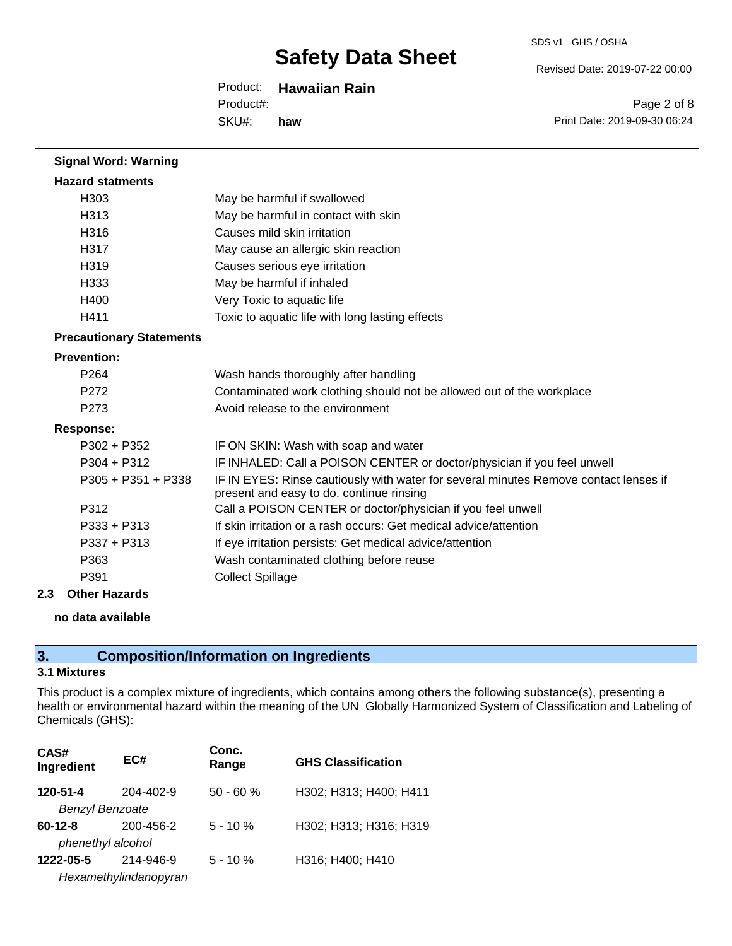#### SDS v1 GHS / OSHA

Revised Date: 2019-07-22 00:00

Product: **Hawaiian Rain** Product#:

SKU#: **haw**

Page 2 of 8 Print Date: 2019-09-30 06:24

| <b>Signal Word: Warning</b>     |                                                                                                                                  |
|---------------------------------|----------------------------------------------------------------------------------------------------------------------------------|
| <b>Hazard statments</b>         |                                                                                                                                  |
| H <sub>303</sub>                | May be harmful if swallowed                                                                                                      |
| H313                            | May be harmful in contact with skin                                                                                              |
| H316                            | Causes mild skin irritation                                                                                                      |
| H317                            | May cause an allergic skin reaction                                                                                              |
| H319                            | Causes serious eye irritation                                                                                                    |
| H333                            | May be harmful if inhaled                                                                                                        |
| H400                            | Very Toxic to aquatic life                                                                                                       |
| H411                            | Toxic to aquatic life with long lasting effects                                                                                  |
| <b>Precautionary Statements</b> |                                                                                                                                  |
| <b>Prevention:</b>              |                                                                                                                                  |
| P <sub>264</sub>                | Wash hands thoroughly after handling                                                                                             |
| P <sub>272</sub>                | Contaminated work clothing should not be allowed out of the workplace                                                            |
| P273                            | Avoid release to the environment                                                                                                 |
| <b>Response:</b>                |                                                                                                                                  |
| $P302 + P352$                   | IF ON SKIN: Wash with soap and water                                                                                             |
| $P304 + P312$                   | IF INHALED: Call a POISON CENTER or doctor/physician if you feel unwell                                                          |
| $P305 + P351 + P338$            | IF IN EYES: Rinse cautiously with water for several minutes Remove contact lenses if<br>present and easy to do. continue rinsing |
| P312                            | Call a POISON CENTER or doctor/physician if you feel unwell                                                                      |
| $P333 + P313$                   | If skin irritation or a rash occurs: Get medical advice/attention                                                                |
| $P337 + P313$                   | If eye irritation persists: Get medical advice/attention                                                                         |
| P363                            | Wash contaminated clothing before reuse                                                                                          |
| P391                            | <b>Collect Spillage</b>                                                                                                          |

#### **2.3 Other Hazards**

#### **no data available**

### **3. Composition/Information on Ingredients**

### **3.1 Mixtures**

This product is a complex mixture of ingredients, which contains among others the following substance(s), presenting a health or environmental hazard within the meaning of the UN Globally Harmonized System of Classification and Labeling of Chemicals (GHS):

| CAS#<br>Ingredient     | EC#                   | Conc.<br>Range | <b>GHS Classification</b> |
|------------------------|-----------------------|----------------|---------------------------|
| 120-51-4               | 204-402-9             | $50 - 60 %$    | H302; H313; H400; H411    |
| <b>Benzyl Benzoate</b> |                       |                |                           |
| $60 - 12 - 8$          | 200-456-2             | $5 - 10%$      | H302; H313; H316; H319    |
| phenethyl alcohol      |                       |                |                           |
| 1222-05-5              | 214-946-9             | $5 - 10%$      | H316; H400; H410          |
|                        | Hexamethylindanopyran |                |                           |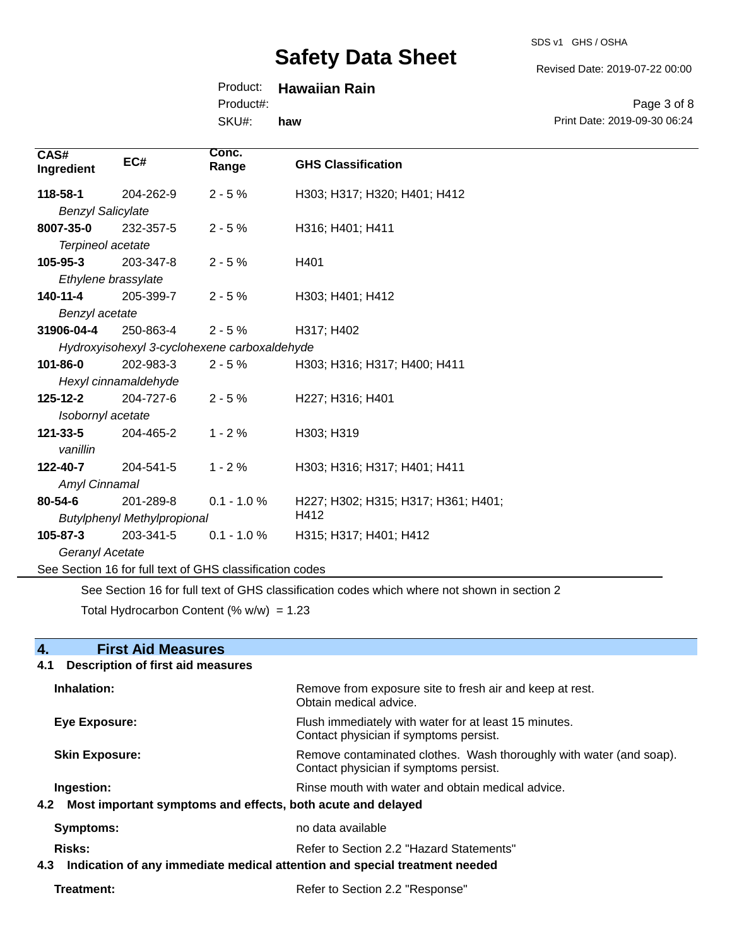SDS v1 GHS / OSHA

Revised Date: 2019-07-22 00:00

### Product: **Hawaiian Rain**

Product#:

SKU#: **haw**

Page 3 of 8 Print Date: 2019-09-30 06:24

| CAS#<br>Ingredient       | EC#                                | Conc.<br>Range                                           | <b>GHS Classification</b>           |
|--------------------------|------------------------------------|----------------------------------------------------------|-------------------------------------|
| 118-58-1                 | 204-262-9                          | $2 - 5%$                                                 | H303; H317; H320; H401; H412        |
| <b>Benzyl Salicylate</b> |                                    |                                                          |                                     |
| 8007-35-0                | 232-357-5                          | $2 - 5%$                                                 | H316; H401; H411                    |
| Terpineol acetate        |                                    |                                                          |                                     |
| $105 - 95 - 3$           | 203-347-8                          | $2 - 5%$                                                 | H401                                |
| Ethylene brassylate      |                                    |                                                          |                                     |
| 140-11-4                 | 205-399-7                          | $2 - 5%$                                                 | H303; H401; H412                    |
| Benzyl acetate           |                                    |                                                          |                                     |
| 31906-04-4               | 250-863-4                          | $2 - 5%$                                                 | H317; H402                          |
|                          |                                    | Hydroxyisohexyl 3-cyclohexene carboxaldehyde             |                                     |
| $101 - 86 - 0$           | 202-983-3                          | $2 - 5%$                                                 | H303; H316; H317; H400; H411        |
|                          | Hexyl cinnamaldehyde               |                                                          |                                     |
| $125 - 12 - 2$           | 204-727-6                          | $2 - 5%$                                                 | H227; H316; H401                    |
| Isobornyl acetate        |                                    |                                                          |                                     |
| 121-33-5                 | 204-465-2                          | $1 - 2%$                                                 | H303; H319                          |
| vanillin                 |                                    |                                                          |                                     |
| 122-40-7                 | 204-541-5                          | $1 - 2%$                                                 | H303; H316; H317; H401; H411        |
| Amyl Cinnamal            |                                    |                                                          |                                     |
| 80-54-6                  | 201-289-8                          | $0.1 - 1.0 %$                                            | H227; H302; H315; H317; H361; H401; |
|                          | <b>Butylphenyl Methylpropional</b> |                                                          | H412                                |
| 105-87-3                 | 203-341-5                          | $0.1 - 1.0 %$                                            | H315; H317; H401; H412              |
| Geranyl Acetate          |                                    |                                                          |                                     |
|                          |                                    | See Section 16 for full text of GHS classification codes |                                     |

See Section 16 for full text of GHS classification codes which where not shown in section 2

Total Hydrocarbon Content  $(\% w/w) = 1.23$ 

| 4.<br><b>First Aid Measures</b>                                                   |                                                                                                               |  |
|-----------------------------------------------------------------------------------|---------------------------------------------------------------------------------------------------------------|--|
| <b>Description of first aid measures</b><br>4.1                                   |                                                                                                               |  |
| Inhalation:                                                                       | Remove from exposure site to fresh air and keep at rest.<br>Obtain medical advice.                            |  |
| <b>Eye Exposure:</b>                                                              | Flush immediately with water for at least 15 minutes.<br>Contact physician if symptoms persist.               |  |
| <b>Skin Exposure:</b>                                                             | Remove contaminated clothes. Wash thoroughly with water (and soap).<br>Contact physician if symptoms persist. |  |
| Ingestion:                                                                        | Rinse mouth with water and obtain medical advice.                                                             |  |
| Most important symptoms and effects, both acute and delayed<br>4.2                |                                                                                                               |  |
| <b>Symptoms:</b>                                                                  | no data available                                                                                             |  |
| Risks:                                                                            | Refer to Section 2.2 "Hazard Statements"                                                                      |  |
| Indication of any immediate medical attention and special treatment needed<br>4.3 |                                                                                                               |  |
| Treatment:                                                                        | Refer to Section 2.2 "Response"                                                                               |  |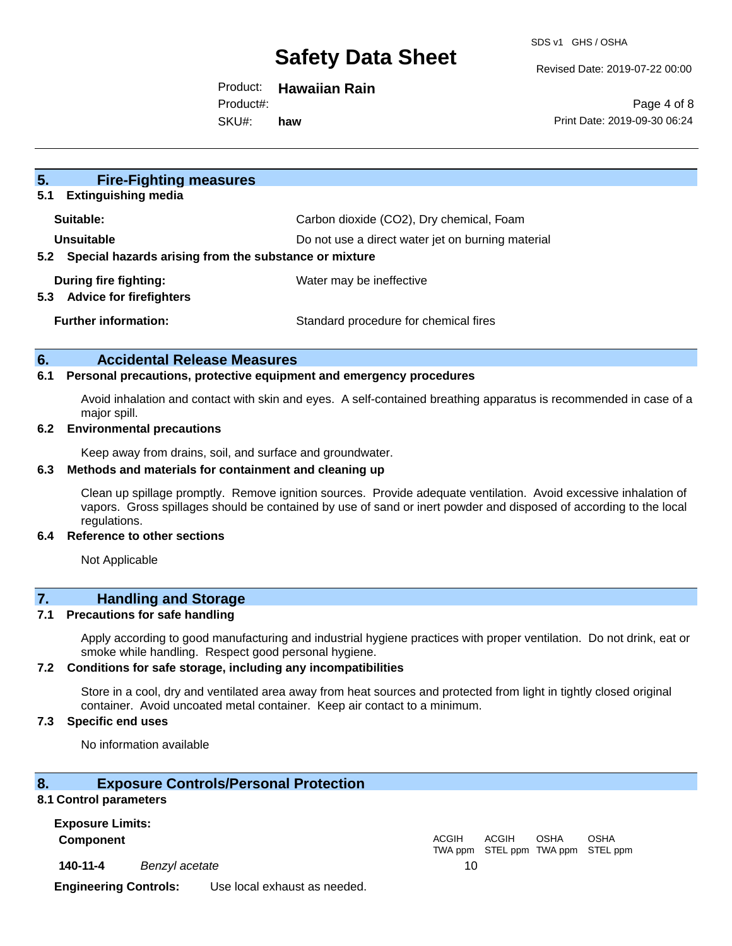Revised Date: 2019-07-22 00:00

Product: **Hawaiian Rain**

Product#:

SKU#: **haw**

Page 4 of 8 Print Date: 2019-09-30 06:24

| 5.<br><b>Fire-Fighting measures</b>                          |                                                   |
|--------------------------------------------------------------|---------------------------------------------------|
| 5.1<br><b>Extinguishing media</b>                            |                                                   |
| Suitable:                                                    | Carbon dioxide (CO2), Dry chemical, Foam          |
| Unsuitable                                                   | Do not use a direct water jet on burning material |
| Special hazards arising from the substance or mixture<br>5.2 |                                                   |
| During fire fighting:                                        | Water may be ineffective                          |
| 5.3<br><b>Advice for firefighters</b>                        |                                                   |
| <b>Further information:</b>                                  | Standard procedure for chemical fires             |
|                                                              |                                                   |

#### **6. Accidental Release Measures**

#### **6.1 Personal precautions, protective equipment and emergency procedures**

Avoid inhalation and contact with skin and eyes. A self-contained breathing apparatus is recommended in case of a major spill.

#### **6.2 Environmental precautions**

Keep away from drains, soil, and surface and groundwater.

#### **6.3 Methods and materials for containment and cleaning up**

Clean up spillage promptly. Remove ignition sources. Provide adequate ventilation. Avoid excessive inhalation of vapors. Gross spillages should be contained by use of sand or inert powder and disposed of according to the local regulations.

#### **6.4 Reference to other sections**

Not Applicable

### **7. Handling and Storage**

#### **7.1 Precautions for safe handling**

Apply according to good manufacturing and industrial hygiene practices with proper ventilation. Do not drink, eat or smoke while handling. Respect good personal hygiene.

#### **7.2 Conditions for safe storage, including any incompatibilities**

Store in a cool, dry and ventilated area away from heat sources and protected from light in tightly closed original container. Avoid uncoated metal container. Keep air contact to a minimum.

#### **7.3 Specific end uses**

No information available

#### **8. Exposure Controls/Personal Protection**

#### **8.1 Control parameters**

**Exposure Limits:**

**Component** ACGIH

**140-11-4** *Benzyl acetate* 10

TWA ppm STEL ppm TWA ppm STEL ppm ACGIH OSHA OSHA

**Engineering Controls:** Use local exhaust as needed.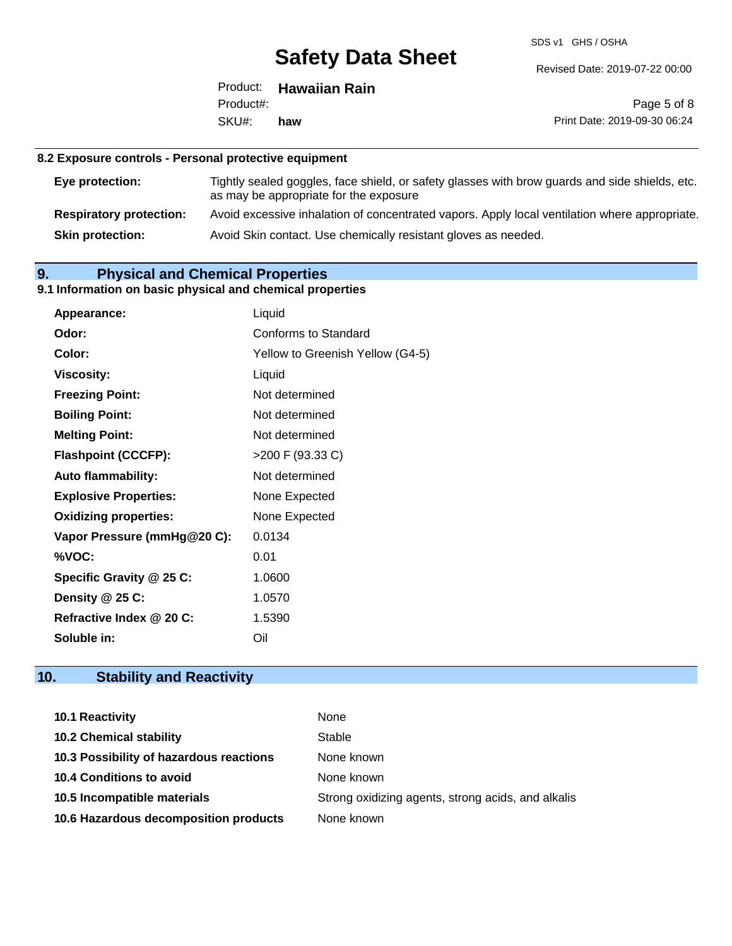SDS v1 GHS / OSHA

Revised Date: 2019-07-22 00:00

|           | Product: Hawaiian Rain |
|-----------|------------------------|
| Product#: |                        |
| SKU#: haw |                        |

Page 5 of 8 Print Date: 2019-09-30 06:24

#### **8.2 Exposure controls - Personal protective equipment**

| Eye protection:                | Tightly sealed goggles, face shield, or safety glasses with brow guards and side shields, etc.<br>as may be appropriate for the exposure |
|--------------------------------|------------------------------------------------------------------------------------------------------------------------------------------|
| <b>Respiratory protection:</b> | Avoid excessive inhalation of concentrated vapors. Apply local ventilation where appropriate.                                            |
| <b>Skin protection:</b>        | Avoid Skin contact. Use chemically resistant gloves as needed.                                                                           |

### **9. Physical and Chemical Properties**

### **9.1 Information on basic physical and chemical properties**

| Appearance:                  | Liquid                           |
|------------------------------|----------------------------------|
| Odor:                        | <b>Conforms to Standard</b>      |
| Color:                       | Yellow to Greenish Yellow (G4-5) |
| <b>Viscosity:</b>            | Liquid                           |
| <b>Freezing Point:</b>       | Not determined                   |
| <b>Boiling Point:</b>        | Not determined                   |
| <b>Melting Point:</b>        | Not determined                   |
| <b>Flashpoint (CCCFP):</b>   | >200 F (93.33 C)                 |
| <b>Auto flammability:</b>    | Not determined                   |
| <b>Explosive Properties:</b> | None Expected                    |
| <b>Oxidizing properties:</b> | None Expected                    |
| Vapor Pressure (mmHg@20 C):  | 0.0134                           |
| %VOC:                        | 0.01                             |
| Specific Gravity @ 25 C:     | 1.0600                           |
| Density $@25C$ :             | 1.0570                           |
| Refractive Index @ 20 C:     | 1.5390                           |
| Soluble in:                  | Oil                              |

## **10. Stability and Reactivity**

| <b>10.1 Reactivity</b>                  | None                                               |
|-----------------------------------------|----------------------------------------------------|
| <b>10.2 Chemical stability</b>          | Stable                                             |
| 10.3 Possibility of hazardous reactions | None known                                         |
| <b>10.4 Conditions to avoid</b>         | None known                                         |
| 10.5 Incompatible materials             | Strong oxidizing agents, strong acids, and alkalis |
| 10.6 Hazardous decomposition products   | None known                                         |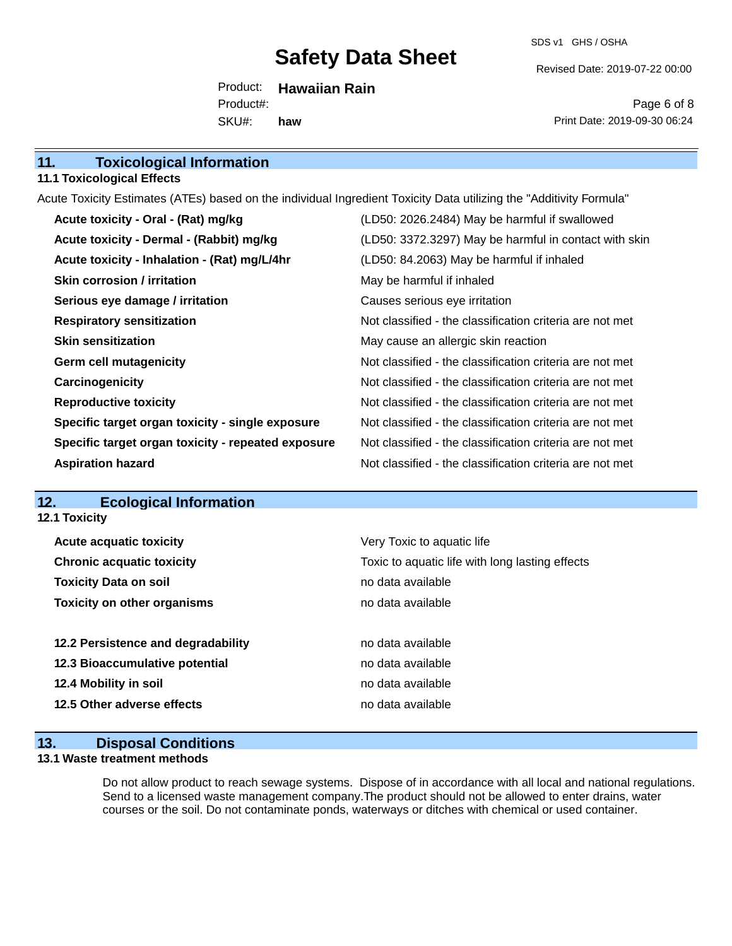SDS v1 GHS / OSHA

Revised Date: 2019-07-22 00:00

Product: **Hawaiian Rain** SKU#: Product#: **haw**

Page 6 of 8 Print Date: 2019-09-30 06:24

| 11.    |  | <b>Toxicological Information</b> |  |
|--------|--|----------------------------------|--|
| ------ |  |                                  |  |

#### **11.1 Toxicological Effects**

Acute Toxicity Estimates (ATEs) based on the individual Ingredient Toxicity Data utilizing the "Additivity Formula"

| Acute toxicity - Oral - (Rat) mg/kg                | (LD50: 2026.2484) May be harmful if swallowed            |
|----------------------------------------------------|----------------------------------------------------------|
| Acute toxicity - Dermal - (Rabbit) mg/kg           | (LD50: 3372.3297) May be harmful in contact with skin    |
| Acute toxicity - Inhalation - (Rat) mg/L/4hr       | (LD50: 84.2063) May be harmful if inhaled                |
| Skin corrosion / irritation                        | May be harmful if inhaled                                |
| Serious eye damage / irritation                    | Causes serious eye irritation                            |
| <b>Respiratory sensitization</b>                   | Not classified - the classification criteria are not met |
| <b>Skin sensitization</b>                          | May cause an allergic skin reaction                      |
| <b>Germ cell mutagenicity</b>                      | Not classified - the classification criteria are not met |
| Carcinogenicity                                    | Not classified - the classification criteria are not met |
| <b>Reproductive toxicity</b>                       | Not classified - the classification criteria are not met |
| Specific target organ toxicity - single exposure   | Not classified - the classification criteria are not met |
| Specific target organ toxicity - repeated exposure | Not classified - the classification criteria are not met |
| <b>Aspiration hazard</b>                           | Not classified - the classification criteria are not met |

### **12. Ecological Information**

**12.1 Toxicity**

| <b>Acute acquatic toxicity</b>     | Very Toxic to aquatic life                      |
|------------------------------------|-------------------------------------------------|
| <b>Chronic acquatic toxicity</b>   | Toxic to aquatic life with long lasting effects |
| <b>Toxicity Data on soil</b>       | no data available                               |
| <b>Toxicity on other organisms</b> | no data available                               |
|                                    |                                                 |
| 12.2 Persistence and degradability | no data available                               |
| 12.3 Bioaccumulative potential     | no data available                               |
| 12.4 Mobility in soil              | no data available                               |
| 12.5 Other adverse effects         | no data available                               |
|                                    |                                                 |

### **13. Disposal Conditions**

#### **13.1 Waste treatment methods**

Do not allow product to reach sewage systems. Dispose of in accordance with all local and national regulations. Send to a licensed waste management company.The product should not be allowed to enter drains, water courses or the soil. Do not contaminate ponds, waterways or ditches with chemical or used container.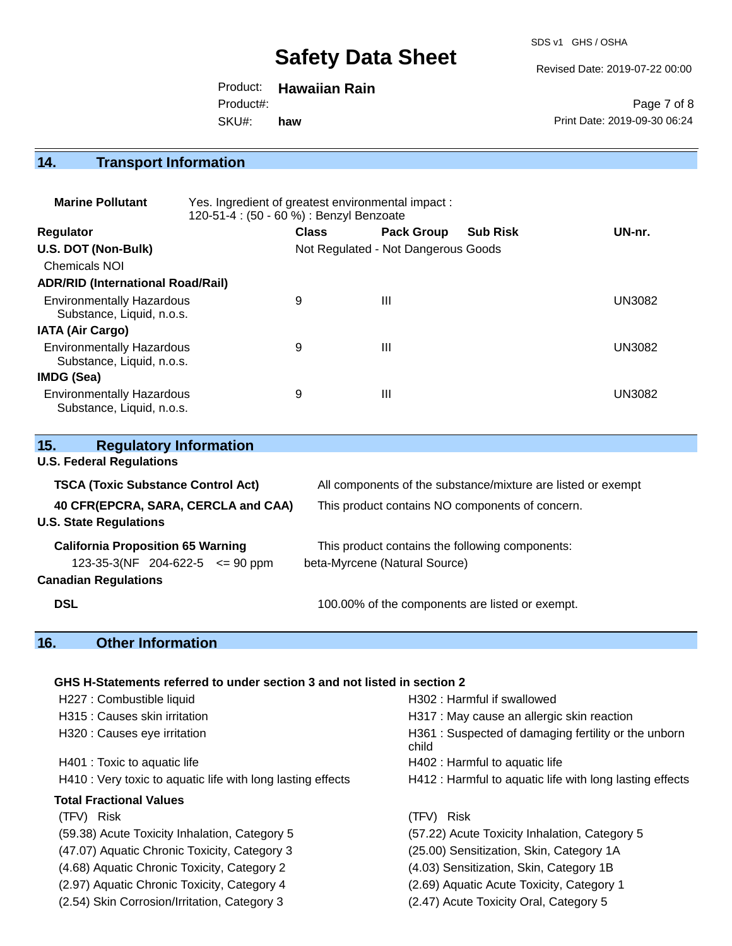SDS v1 GHS / OSHA

Revised Date: 2019-07-22 00:00

Product: **Hawaiian Rain** SKU#: Product#: **haw**

Page 7 of 8 Print Date: 2019-09-30 06:24

## **14. Transport Information**

| <b>Marine Pollutant</b>                                       | Yes. Ingredient of greatest environmental impact:<br>120-51-4 : (50 - 60 %) : Benzyl Benzoate |              |                                     |                 |               |
|---------------------------------------------------------------|-----------------------------------------------------------------------------------------------|--------------|-------------------------------------|-----------------|---------------|
| <b>Regulator</b>                                              |                                                                                               | <b>Class</b> | <b>Pack Group</b>                   | <b>Sub Risk</b> | UN-nr.        |
| U.S. DOT (Non-Bulk)                                           |                                                                                               |              | Not Regulated - Not Dangerous Goods |                 |               |
| <b>Chemicals NOI</b>                                          |                                                                                               |              |                                     |                 |               |
| <b>ADR/RID (International Road/Rail)</b>                      |                                                                                               |              |                                     |                 |               |
| <b>Environmentally Hazardous</b><br>Substance, Liquid, n.o.s. |                                                                                               | 9            | Ш                                   |                 | <b>UN3082</b> |
| <b>IATA (Air Cargo)</b>                                       |                                                                                               |              |                                     |                 |               |
| <b>Environmentally Hazardous</b><br>Substance, Liquid, n.o.s. |                                                                                               | 9            | Ш                                   |                 | <b>UN3082</b> |
| <b>IMDG (Sea)</b>                                             |                                                                                               |              |                                     |                 |               |
| <b>Environmentally Hazardous</b><br>Substance, Liquid, n.o.s. |                                                                                               | 9            | Ш                                   |                 | UN3082        |

| 15.<br><b>Regulatory Information</b>                                            |                                                                                  |
|---------------------------------------------------------------------------------|----------------------------------------------------------------------------------|
| <b>U.S. Federal Regulations</b>                                                 |                                                                                  |
| <b>TSCA (Toxic Substance Control Act)</b>                                       | All components of the substance/mixture are listed or exempt                     |
| 40 CFR(EPCRA, SARA, CERCLA and CAA)<br><b>U.S. State Regulations</b>            | This product contains NO components of concern.                                  |
| <b>California Proposition 65 Warning</b><br>123-35-3(NF 204-622-5 $\leq$ 90 ppm | This product contains the following components:<br>beta-Myrcene (Natural Source) |
| <b>Canadian Regulations</b>                                                     |                                                                                  |
| <b>DSL</b>                                                                      | 100.00% of the components are listed or exempt.                                  |

### **16. Other Information**

#### **GHS H-Statements referred to under section 3 and not listed in section 2**

| H227 : Combustible liquid                                   | H302 : Harmful if swallowed                                  |
|-------------------------------------------------------------|--------------------------------------------------------------|
| H315 : Causes skin irritation                               | H317 : May cause an allergic skin reaction                   |
| H320 : Causes eye irritation                                | H361: Suspected of damaging fertility or the unborn<br>child |
| H401 : Toxic to aquatic life                                | H402 : Harmful to aquatic life                               |
| H410 : Very toxic to aquatic life with long lasting effects | H412 : Harmful to aquatic life with long lasting effects     |
| <b>Total Fractional Values</b>                              |                                                              |
| (TFV) Risk                                                  | (TFV) Risk                                                   |
| (59.38) Acute Toxicity Inhalation, Category 5               | (57.22) Acute Toxicity Inhalation, Category 5                |
| (47.07) Aquatic Chronic Toxicity, Category 3                | (25.00) Sensitization, Skin, Category 1A                     |
| (4.68) Aquatic Chronic Toxicity, Category 2                 | (4.03) Sensitization, Skin, Category 1B                      |
| (2.97) Aquatic Chronic Toxicity, Category 4                 | (2.69) Aquatic Acute Toxicity, Category 1                    |
| (2.54) Skin Corrosion/Irritation, Category 3                | (2.47) Acute Toxicity Oral, Category 5                       |